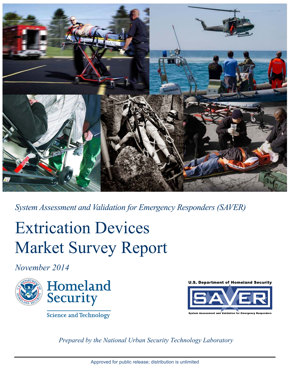

*System Assessment and Validation for Emergency Responders (SAVER)*

# Extrication Devices Market Survey Report

*November 2014* 





**U.S. Department of Homeland Security** 



Science and Technology

*Prepared by the National Urban Security Technology Laboratory*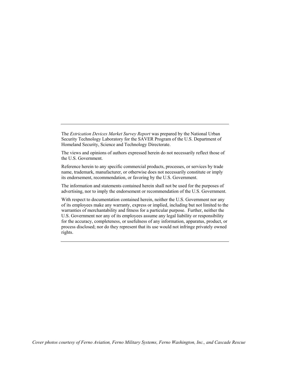The *Extrication Devices Market Survey Report* was prepared by the National Urban Security Technology Laboratory for the SAVER Program of the U.S. Department of Homeland Security, Science and Technology Directorate.

The views and opinions of authors expressed herein do not necessarily reflect those of the U.S. Government.

Reference herein to any specific commercial products, processes, or services by trade name, trademark, manufacturer, or otherwise does not necessarily constitute or imply its endorsement, recommendation, or favoring by the U.S. Government.

The information and statements contained herein shall not be used for the purposes of advertising, nor to imply the endorsement or recommendation of the U.S. Government.

With respect to documentation contained herein, neither the U.S. Government nor any of its employees make any warranty, express or implied, including but not limited to the warranties of merchantability and fitness for a particular purpose. Further, neither the U.S. Government nor any of its employees assume any legal liability or responsibility for the accuracy, completeness, or usefulness of any information, apparatus, product, or process disclosed; nor do they represent that its use would not infringe privately owned rights.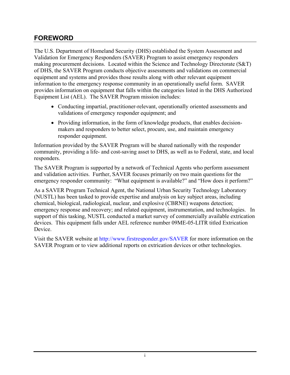## <span id="page-2-0"></span>**FOREWORD**

The U.S. Department of Homeland Security (DHS) established the System Assessment and Validation for Emergency Responders (SAVER) Program to assist emergency responders making procurement decisions. Located within the Science and Technology Directorate (S&T) of DHS, the SAVER Program conducts objective assessments and validations on commercial equipment and systems and provides those results along with other relevant equipment information to the emergency response community in an operationally useful form. SAVER provides information on equipment that falls within the categories listed in the DHS Authorized Equipment List (AEL). The SAVER Program mission includes:

- Conducting impartial, practitioner-relevant, operationally oriented assessments and validations of emergency responder equipment; and
- Providing information, in the form of knowledge products, that enables decisionmakers and responders to better select, procure, use, and maintain emergency responder equipment.

Information provided by the SAVER Program will be shared nationally with the responder community, providing a life- and cost-saving asset to DHS, as well as to Federal, state, and local responders.

The SAVER Program is supported by a network of Technical Agents who perform assessment and validation activities. Further, SAVER focuses primarily on two main questions for the emergency responder community: "What equipment is available?" and "How does it perform?"

As a SAVER Program Technical Agent, the National Urban Security Technology Laboratory (NUSTL) has been tasked to provide expertise and analysis on key subject areas, including chemical, biological, radiological, nuclear, and explosive (CBRNE) weapons detection; emergency response and recovery; and related equipment, instrumentation, and technologies. In support of this tasking, NUSTL conducted a market survey of commercially available extrication devices. This equipment falls under AEL reference number 09ME-05-LITR titled Extrication Device.

Visit the SAVER website at <http://www.firstresponder.gov/SAVER>for more information on the SAVER Program or to view additional reports on extrication devices or other technologies.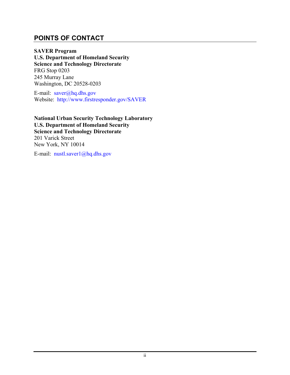## <span id="page-3-0"></span>**POINTS OF CONTACT**

**SAVER Program U.S. Department of Homeland Security Science and Technology Directorate** FRG Stop 0203 245 Murray Lane Washington, DC 20528-0203

E-mail: [saver@hq.dhs.gov](mailto:saver@hq.dhs.gov) Website: <http://www.firstresponder.gov/SAVER>

**National Urban Security Technology Laboratory U.S. Department of Homeland Security Science and Technology Directorate** 201 Varick Street New York, NY 10014

E-mail: [nustl.saver1@hq.dhs.gov](mailto:nustl.saver1@hq.dhs.gov)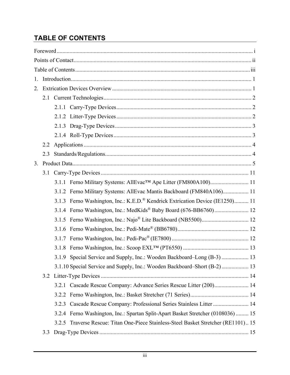# <span id="page-4-0"></span>**TABLE OF CONTENTS**

| $1_{-}$ |     |       |                                                                                           |  |
|---------|-----|-------|-------------------------------------------------------------------------------------------|--|
| 2.      |     |       |                                                                                           |  |
|         |     |       |                                                                                           |  |
|         |     |       |                                                                                           |  |
|         |     |       |                                                                                           |  |
|         |     |       |                                                                                           |  |
|         |     |       |                                                                                           |  |
|         | 2.2 |       |                                                                                           |  |
|         | 2.3 |       |                                                                                           |  |
| 3.      |     |       |                                                                                           |  |
|         | 3.1 |       |                                                                                           |  |
|         |     |       |                                                                                           |  |
|         |     |       | 3.1.2 Ferno Military Systems: AllEvac Mantis Backboard (FM840A106) 11                     |  |
|         |     |       | 3.1.3 Ferno Washington, Inc.: K.E.D. <sup>®</sup> Kendrick Extrication Device (IE1250) 11 |  |
|         |     |       | 3.1.4 Ferno Washington, Inc.: MedKids® Baby Board (676-BB6760) 12                         |  |
|         |     |       |                                                                                           |  |
|         |     |       |                                                                                           |  |
|         |     |       |                                                                                           |  |
|         |     |       |                                                                                           |  |
|         |     |       | 3.1.9 Special Service and Supply, Inc.: Wooden Backboard-Long (B-3)  13                   |  |
|         |     |       | 3.1.10 Special Service and Supply, Inc.: Wooden Backboard–Short (B-2) 13                  |  |
|         |     |       |                                                                                           |  |
|         |     |       | 3.2.1 Cascade Rescue Company: Advance Series Rescue Litter (200) 14                       |  |
|         |     | 3.2.2 |                                                                                           |  |
|         |     |       | 3.2.3 Cascade Rescue Company: Professional Series Stainless Litter  14                    |  |
|         |     |       | 3.2.4 Ferno Washington, Inc.: Spartan Split-Apart Basket Stretcher (0108036)  15          |  |
|         |     |       | 3.2.5 Traverse Rescue: Titan One-Piece Stainless-Steel Basket Stretcher (RE1101) 15       |  |
|         | 3.3 |       |                                                                                           |  |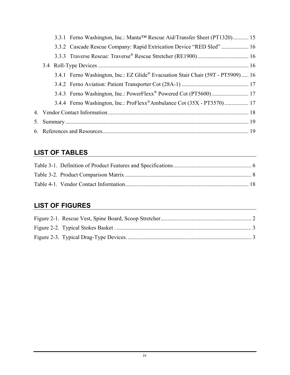|  | 3.3.1 Ferno Washington, Inc.: Manta <sup>™</sup> Rescue Aid/Transfer Sheet (PT1320) 15        |  |
|--|-----------------------------------------------------------------------------------------------|--|
|  | 3.3.2 Cascade Rescue Company: Rapid Extrication Device "RED Sled"  16                         |  |
|  |                                                                                               |  |
|  |                                                                                               |  |
|  | 3.4.1 Ferno Washington, Inc.: EZ Glide <sup>®</sup> Evacuation Stair Chair (59T - PT5909)  16 |  |
|  |                                                                                               |  |
|  |                                                                                               |  |
|  | 3.4.4 Ferno Washington, Inc.: ProFlexx <sup>®</sup> Ambulance Cot (35X - PT3570) 17           |  |
|  |                                                                                               |  |
|  |                                                                                               |  |
|  |                                                                                               |  |

# **LIST OF TABLES**

# **LIST OF FIGURES**

<span id="page-5-0"></span>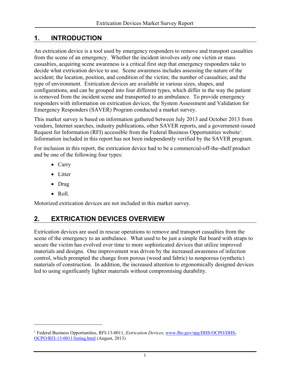## **1. INTRODUCTION**

An extrication device is a tool used by emergency responders to remove and transport casualties from the scene of an emergency. Whether the incident involves only one victim or mass casualties, acquiring scene awareness is a critical first step that emergency responders take to decide what extrication device to use. Scene awareness includes assessing the nature of the accident; the location, position, and condition of the victim; the number of casualties; and the type of environment. Extrication devices are available in various sizes, shapes, and configurations, and can be grouped into four different types, which differ in the way the patient is removed from the incident scene and transported to an ambulance. To provide emergency responders with information on extrication devices, the System Assessment and Validation for Emergency Responders (SAVER) Program conducted a market survey.

This market survey is based on information gathered between July 2013 and October 2013 from vendors, Internet searches, industry publications, other SAVER reports, and a government-issued Request for Information (RFI) accessible from the Federal Business Opportunities website<sup>1</sup>. Information included in this report has not been independently verified by the SAVER program.

For inclusion in this report, the extrication device had to be a commercial-off-the-shelf product and be one of the following four types:

- Carry
- Litter
- Drag
- Roll

 $\overline{a}$ 

Motorized extrication devices are not included in this market survey.

## <span id="page-6-0"></span>**2. EXTRICATION DEVICES OVERVIEW**

Extrication devices are used in rescue operations to remove and transport casualties from the scene of the emergency to an ambulance. What used to be just a simple flat board with straps to secure the victim has evolved over time to more sophisticated devices that utilize improved materials and designs. One improvement was driven by the increased awareness of infection control, which prompted the change from porous (wood and fabric) to nonporous (synthetic) materials of construction. In addition, the increased attention to ergonomically designed devices led to using significantly lighter materials without compromising durability.

<sup>1</sup> Federal Business Opportunities, RFI-13-0011, *Extrication Devices*[, www.fbo.gov/spg/DHS/OCPO/DHS-](http://www.fbo.gov/spg/DHS/OCPO/DHS-OCPO/RFI-13-0011/listing.html)[OCPO/RFI-13-0011/listing.html](http://www.fbo.gov/spg/DHS/OCPO/DHS-OCPO/RFI-13-0011/listing.html) (August, 2013)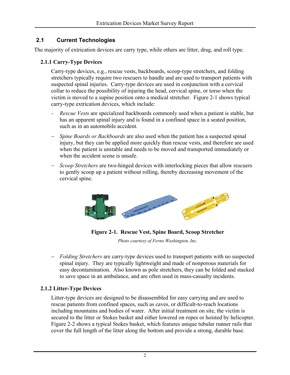## <span id="page-7-1"></span><span id="page-7-0"></span>**2.1 Current Technologies**

The majority of extrication devices are carry type, while others are litter, drag, and roll type.

#### **2.1.1 Carry-Type Devices**

Carry-type devices, e.g., rescue vests, backboards, scoop-type stretchers, and folding stretchers typically require two rescuers to handle and are used to transport patients with suspected spinal injuries. Carry-type devices are used in conjunction with a cervical collar to reduce the possibility of injuring the head, cervical spine, or torso when the victim is moved to a supine position onto a medical stretcher. Figure 2-1 shows typical carry-type extrication devices, which include:

- − *Rescue Vests* are specialized backboards commonly used when a patient is stable, but has an apparent spinal injury and is found in a confined space in a seated position, such as in an automobile accident.
- − *Spine Boards or Backboards* are also used when the patient has a suspected spinal injury, but they can be applied more quickly than rescue vests, and therefore are used when the patient is unstable and needs to be moved and transported immediately or when the accident scene is unsafe.
- − *Scoop Stretchers* are two-hinged devices with interlocking pieces that allow rescuers to gently scoop up a patient without rolling, thereby decreasing movement of the cervical spine.



**Figure 2-1. Rescue Vest, Spine Board, Scoop Stretcher**

*Photo courtesy of Ferno Washington, Inc.* 

<span id="page-7-2"></span>− *Folding Stretchers* are carry-type devices used to transport patients with no suspected spinal injury. They are typically lightweight and made of nonporous materials for easy decontamination. Also known as pole stretchers, they can be folded and stacked to save space in an ambulance, and are often used in mass-casualty incidents.

#### **2.1.2 Litter-Type Devices**

Litter-type devices are designed to be disassembled for easy carrying and are used to rescue patients from confined spaces, such as caves, or difficult-to-reach locations including mountains and bodies of water. After initial treatment on site, the victim is secured to the litter or Stokes basket and either lowered on ropes or hoisted by helicopter. Figure 2-2 shows a typical Stokes basket, which features unique tubular runner rails that cover the full length of the litter along the bottom and provide a strong, durable base.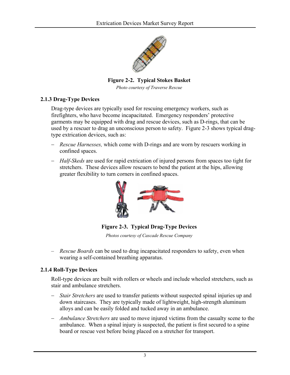<span id="page-8-2"></span>

**Figure 2-2. Typical Stokes Basket**

*Photo courtesy of Traverse Rescue*

#### <span id="page-8-1"></span><span id="page-8-0"></span>**2.1.3 Drag-Type Devices**

Drag-type devices are typically used for rescuing emergency workers, such as firefighters, who have become incapacitated. Emergency responders' protective garments may be equipped with drag and rescue devices, such as D-rings, that can be used by a rescuer to drag an unconscious person to safety. Figure 2-3 shows typical dragtype extrication devices, such as:

- − *Rescue Harnesses,* which come with D-rings and are worn by rescuers working in confined spaces.
- − *Half-Skeds* are used for rapid extrication of injured persons from spaces too tight for stretchers. These devices allow rescuers to bend the patient at the hips, allowing greater flexibility to turn corners in confined spaces.

<span id="page-8-3"></span>

**Figure 2-3. Typical Drag-Type Devices**

*Photos courtesy of Cascade Rescue Company*

– *Rescue Boards* can be used to drag incapacitated responders to safety, even when wearing a self-contained breathing apparatus.

#### **2.1.4 Roll-Type Devices**

Roll-type devices are built with rollers or wheels and include wheeled stretchers, such as stair and ambulance stretchers.

- − *Stair Stretchers* are used to transfer patients without suspected spinal injuries up and down staircases. They are typically made of lightweight, high-strength aluminum alloys and can be easily folded and tucked away in an ambulance.
- − *Ambulance Stretchers* are used to move injured victims from the casualty scene to the ambulance. When a spinal injury is suspected, the patient is first secured to a spine board or rescue vest before being placed on a stretcher for transport.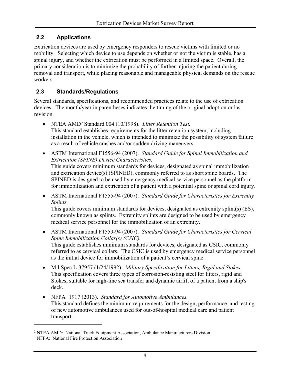## <span id="page-9-2"></span><span id="page-9-0"></span>**2.2 Applications**

Extrication devices are used by emergency responders to rescue victims with limited or no mobility. Selecting which device to use depends on whether or not the victim is stable, has a spinal injury, and whether the extrication must be performed in a limited space. Overall, the primary consideration is to minimize the probability of further injuring the patient during removal and transport, while placing reasonable and manageable physical demands on the rescue workers.

### <span id="page-9-1"></span>**2.3 Standards/Regulations**

Several standards, specifications, and recommended practices relate to the use of extrication devices. The month/year in parentheses indicates the timing of the original adoption or last revision.

- NTEA AMD2 Standard 004 (10/1998). *Litter Retention Test.* This standard establishes requirements for the litter retention system, including installation in the vehicle, which is intended to minimize the possibility of system failure as a result of vehicle crashes and/or sudden driving maneuvers.
- ASTM International F1556-94 (2007). *Standard Guide for Spinal Immobilization and Extrication (SPINE) Device Characteristics.* This guide covers minimum standards for devices, designated as spinal immobilization and extrication device(s) (SPINED), commonly referred to as short spine boards. The SPINED is designed to be used by emergency medical service personnel as the platform for immobilization and extrication of a patient with a potential spine or spinal cord injury.
- ASTM International F1555-94 (2007). *Standard Guide for Characteristics for Extremity Splints.*

This guide covers minimum standards for devices, designated as extremity splint(s) (ES), commonly known as splints. Extremity splints are designed to be used by emergency medical service personnel for the immobilization of an extremity.

- ASTM International F1559-94 (2007). *Standard Guide for Characteristics for Cervical Spine Immobilization Collar(s) (CSIC).* This guide establishes minimum standards for devices, designated as CSIC, commonly referred to as cervical collars. The CSIC is used by emergency medical service personnel as the initial device for immobilization of a patient's cervical spine.
- Mil Spec L-37957 (1/24/1992). *Military Specification for Litters, Rigid and Stokes*. This specification covers three types of corrosion-resisting steel for litters, rigid and Stokes, suitable for high-line sea transfer and dynamic airlift of a patient from a ship's deck.
- NFPA3 1917 (2013). *Standard for Automotive Ambulances.* This standard defines the minimum requirements for the design, performance, and testing of new automotive ambulances used for out-of-hospital medical care and patient transport.

<sup>2</sup> NTEA AMD: National Truck Equipment Association, Ambulance Manufacturers Division

<sup>&</sup>lt;sup>3</sup> NFPA: National Fire Protection Association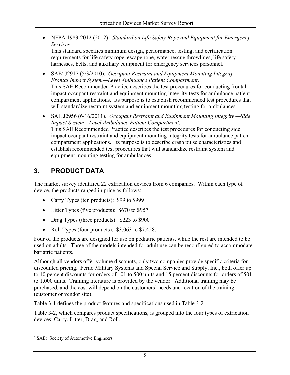• NFPA 1983-2012 (2012). *Standard on Life Safety Rope and Equipment for Emergency Services.*

This standard specifies minimum design, performance, testing, and certification requirements for life safety rope, escape rope, water rescue throwlines, life safety harnesses, belts, and auxiliary equipment for emergency services personnel.

- SAE<sup>4</sup> J2917 (5/3/2010). *Occupant Restraint and Equipment Mounting Integrity Frontal Impact System—Level Ambulance Patient Compartment*. This SAE Recommended Practice describes the test procedures for conducting frontal impact occupant restraint and equipment mounting integrity tests for ambulance patient compartment applications. Its purpose is to establish recommended test procedures that will standardize restraint system and equipment mounting testing for ambulances.
- SAE J2956 (6/16/2011). *Occupant Restraint and Equipment Mounting Integrity —Side Impact System—Level Ambulance Patient Compartment*. This SAE Recommended Practice describes the test procedures for conducting side impact occupant restraint and equipment mounting integrity tests for ambulance patient compartment applications. Its purpose is to describe crash pulse characteristics and establish recommended test procedures that will standardize restraint system and equipment mounting testing for ambulances.

# <span id="page-10-0"></span>**3. PRODUCT DATA**

The market survey identified 22 extrication devices from 6 companies. Within each type of device, the products ranged in price as follows:

- Carry Types (ten products): \$99 to \$999
- Litter Types (five products): \$670 to \$957
- Drag Types (three products): \$223 to \$900
- Roll Types (four products): \$3,063 to \$7,458.

Four of the products are designed for use on pediatric patients, while the rest are intended to be used on adults. Three of the models intended for adult use can be reconfigured to accommodate bariatric patients.

Although all vendors offer volume discounts, only two companies provide specific criteria for discounted pricing. Ferno Military Systems and Special Service and Supply, Inc., both offer up to 10 percent discounts for orders of 101 to 500 units and 15 percent discounts for orders of 501 to 1,000 units. Training literature is provided by the vendor. Additional training may be purchased, and the cost will depend on the customers' needs and location of the training (customer or vendor site).

Table 3-1 defines the product features and specifications used in Table 3-2.

Table 3-2, which compares product specifications, is grouped into the four types of extrication devices: Carry, Litter, Drag, and Roll.

<sup>4</sup> SAE: Society of Automotive Engineers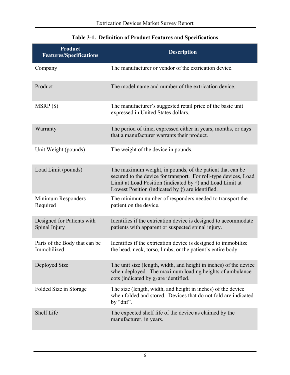<span id="page-11-0"></span>

| Product<br><b>Features/Specifications</b>    | <b>Description</b>                                                                                                                                                                                                                                                 |
|----------------------------------------------|--------------------------------------------------------------------------------------------------------------------------------------------------------------------------------------------------------------------------------------------------------------------|
| Company                                      | The manufacturer or vendor of the extrication device.                                                                                                                                                                                                              |
| Product                                      | The model name and number of the extrication device.                                                                                                                                                                                                               |
| MSRP(                                        | The manufacturer's suggested retail price of the basic unit<br>expressed in United States dollars.                                                                                                                                                                 |
| Warranty                                     | The period of time, expressed either in years, months, or days<br>that a manufacturer warrants their product.                                                                                                                                                      |
| Unit Weight (pounds)                         | The weight of the device in pounds.                                                                                                                                                                                                                                |
| Load Limit (pounds)                          | The maximum weight, in pounds, of the patient that can be.<br>secured to the device for transport. For roll-type devices, Load<br>Limit at Load Position (indicated by $\dagger$ ) and Load Limit at<br>Lowest Position (indicated by $\ddagger$ ) are identified. |
| Minimum Responders<br>Required               | The minimum number of responders needed to transport the<br>patient on the device.                                                                                                                                                                                 |
| Designed for Patients with<br>Spinal Injury  | Identifies if the extrication device is designed to accommodate<br>patients with apparent or suspected spinal injury.                                                                                                                                              |
| Parts of the Body that can be<br>Immobilized | Identifies if the extrication device is designed to immobilize<br>the head, neck, torso, limbs, or the patient's entire body.                                                                                                                                      |
| Deployed Size                                | The unit size (length, width, and height in inches) of the device<br>when deployed. The maximum loading heights of ambulance<br>cots (indicated by $\S$ ) are identified.                                                                                          |
| Folded Size in Storage                       | The size (length, width, and height in inches) of the device<br>when folded and stored. Devices that do not fold are indicated<br>by "dnf".                                                                                                                        |
| <b>Shelf Life</b>                            | The expected shelf life of the device as claimed by the<br>manufacturer, in years.                                                                                                                                                                                 |

## **Table 3-1. Definition of Product Features and Specifications**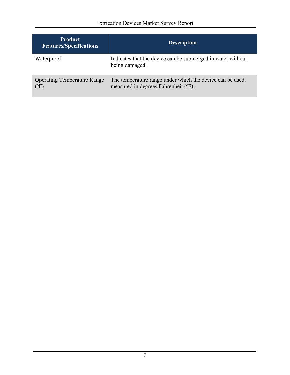| <b>Product</b><br><b>Features/Specifications</b>    | <b>Description</b>                                                                                |
|-----------------------------------------------------|---------------------------------------------------------------------------------------------------|
| Waterproof                                          | Indicates that the device can be submerged in water without<br>being damaged.                     |
| <b>Operating Temperature Range</b><br>$(^{\circ}F)$ | The temperature range under which the device can be used,<br>measured in degrees Fahrenheit (°F). |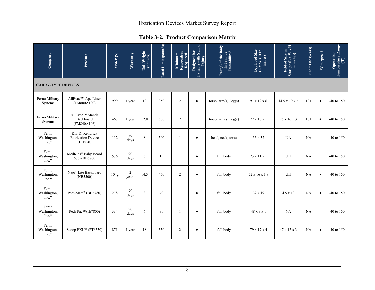<span id="page-13-0"></span>

| Company                         | Product                                                  | MSRP(S) | Warranty                | Unit Weight<br>(pounds) | Load Limit (pounds) | Minimum<br>Responders<br>Required | Designed for<br>Patients with Spinal<br>Injury | Part(s) of the Body<br>that can be<br>Immobilized | Deployed Size<br>(L x W x H in<br>inches) | Folded Size in<br>Storage (L x W x H<br>in inches) | Shelf Life (years) | Waterproof | $\fbox{\parbox{1.5cm} \begin{tabular}{ c } \hline \textbf{Operating} \\ \hline \textbf{Temperature Range} \\ \hline \end{tabular} }$ |
|---------------------------------|----------------------------------------------------------|---------|-------------------------|-------------------------|---------------------|-----------------------------------|------------------------------------------------|---------------------------------------------------|-------------------------------------------|----------------------------------------------------|--------------------|------------|--------------------------------------------------------------------------------------------------------------------------------------|
|                                 | <b>CARRY-TYPE DEVICES</b>                                |         |                         |                         |                     |                                   |                                                |                                                   |                                           |                                                    |                    |            |                                                                                                                                      |
| Ferno Military<br>Systems       | AllEvac™ Ape Litter<br>(FM800A100)                       | 999     | 1 year                  | 19                      | 350                 | $\overline{2}$                    | $\bullet$                                      | torso, arm(s), leg(s)                             | 91 x 19 x 6                               | $14.5 \times 19 \times 6$                          | $10+$              | $\bullet$  | -40 to $150$                                                                                                                         |
| Ferno Military<br>Systems       | AllEvac™ Mantis<br>Backboard<br>(FM840A106)              | 463     | 1 year                  | 12.8                    | 500                 | $\overline{2}$                    |                                                | torso, $arm(s)$ , $leg(s)$                        | 72 x 16 x 1                               | $25 \times 16 \times 3$                            | $10+$              | $\bullet$  | -40 to $150$                                                                                                                         |
| Ferno<br>Washington,<br>$Inc.*$ | K.E.D. Kendrick<br><b>Extrication Device</b><br>(IE1250) | 112     | 90<br>days              | 8                       | 500                 | 1                                 | $\bullet$                                      | head, neck, torso                                 | 33 x 32                                   | NA                                                 | <b>NA</b>          |            | $-40$ to $150$                                                                                                                       |
| Ferno<br>Washington,<br>Inc.*   | MedKids® Baby Board<br>$(676 - BB6760)$                  | 536     | 90<br>days              | 6                       | 15                  | 1                                 | $\bullet$                                      | full body                                         | $23 \times 11 \times 1$                   | dnf                                                | NA                 |            | -40 to $150$                                                                                                                         |
| Ferno<br>Washington,<br>Inc.*   | Najo® Lite Backboard<br>(NB5500)                         | 104g    | $\overline{c}$<br>years | 14.5                    | 450                 | $\overline{2}$                    | $\bullet$                                      | full body                                         | 72 x 16 x 1.8                             | dnf                                                | NA                 | $\bullet$  | -40 to $150$                                                                                                                         |
| Ferno<br>Washington,<br>$Inc.*$ | Pedi-Mate® (BB6780)                                      | 278     | 90<br>days              | 3                       | 40                  | 1                                 | ٠                                              | full body                                         | 32 x 19                                   | $4.5 \times 19$                                    | <b>NA</b>          | $\bullet$  | -40 to $150$                                                                                                                         |
| Ferno<br>Washington,<br>Inc.*   | Pedi-Pac™(IE7800)                                        | 334     | 90<br>days              | 6                       | 90                  | 1                                 | ٠                                              | full body                                         | 48 x 9 x 1                                | <b>NA</b>                                          | <b>NA</b>          |            | -40 to $150$                                                                                                                         |
| Ferno<br>Washington,<br>Inc.*   | Scoop EXL™ (PT6550)                                      | 871     | 1 year                  | 18                      | 350                 | $\overline{c}$                    | ٠                                              | full body                                         | 79 x 17 x 4                               | 47 x 17 x 3                                        | <b>NA</b>          | $\bullet$  | $-40$ to $150$                                                                                                                       |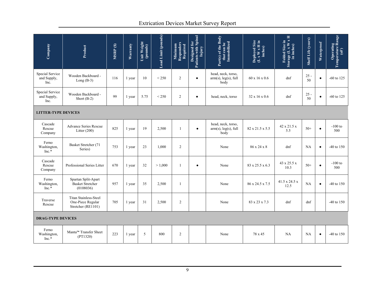## Extrication Devices Market Survey Report

| Company                                       | Product                                                                 | MSRP(\$) | Warranty | Unit Weight<br>(pounds) | Load Limit (pounds) | Minimum<br>Responders<br>Required | <b>Designed for</b><br>Patients with Spinal<br>Injury | Part(s) of the Body<br>that can be<br>Immobilized        | Deployed Size<br>(L x W x H in<br>inches) | Folded Size in<br>Storage (L x W x H<br>in inches) | Shelf Life (years) | Waterproof | <b>Operating<br/>Temperature Range<br/>(oF)</b> |
|-----------------------------------------------|-------------------------------------------------------------------------|----------|----------|-------------------------|---------------------|-----------------------------------|-------------------------------------------------------|----------------------------------------------------------|-------------------------------------------|----------------------------------------------------|--------------------|------------|-------------------------------------------------|
| <b>Special Service</b><br>and Supply,<br>Inc. | Wooden Backboard -<br>Long $(B-3)$                                      | 116      | 1 year   | 10                      | < 250               | $\overline{2}$                    | $\bullet$                                             | head, neck, torso,<br>$arm(s)$ , $leg(s)$ , full<br>body | $60 \times 16 \times 0.6$                 | dnf                                                | $25 -$<br>50       | $\bullet$  | $-60$ to 125                                    |
| Special Service<br>and Supply,<br>Inc.        | Wooden Backboard -<br>Short $(B-2)$                                     | 99       | 1 year   | 5.75                    | ${}_{<}$ 250        | $\overline{2}$                    | $\bullet$                                             | head, neck, torso                                        | $32 \times 16 \times 0.6$                 | dnf                                                | $25 -$<br>50       | $\bullet$  | $-60$ to 125                                    |
| <b>LITTER-TYPE DEVICES</b>                    |                                                                         |          |          |                         |                     |                                   |                                                       |                                                          |                                           |                                                    |                    |            |                                                 |
| Cascade<br>Rescue<br>Company                  | Advance Series Rescue<br>Litter $(200)$                                 | 825      | 1 year   | 19                      | 2,500               | $\mathbf{1}$                      | $\bullet$                                             | head, neck, torso,<br>$arm(s)$ , leg(s), full<br>body    | 82 x 21.5 x 5.5                           | 42 x 21.5 x<br>5.5                                 | $50+$              | $\bullet$  | $-100$ to<br>500                                |
| Ferno<br>Washington,<br>$Inc.*$               | Basket Stretcher (71<br>Series)                                         | 753      | 1 year   | 23                      | 1,000               | 2                                 |                                                       | None                                                     | 86 x 24 x 8                               | dnf                                                | <b>NA</b>          | $\bullet$  | $-40$ to $150$                                  |
| Cascade<br>Rescue<br>Company                  | Professional Series Litter                                              | 670      | 1 year   | 32                      | > 1,000             |                                   | $\bullet$                                             | None                                                     | 83 x 25.5 x 6.3                           | 43 x 25.5 x<br>10.3                                | $50+$              | $\bullet$  | $-100$ to<br>500                                |
| Ferno<br>Washington,<br>$Inc.*$               | Spartan Split-Apart<br><b>Basket Stretcher</b><br>(0108036)             | 957      | 1 year   | 35                      | 2,500               | 1                                 |                                                       | None                                                     | 86 x 24.5 x 7.5                           | 41.5 x 24.5 x<br>12.5                              | NA                 | $\bullet$  | $-40$ to 150                                    |
| Traverse<br>Rescue                            | <b>Titan Stainless-Steel</b><br>One-Piece Regular<br>Stretcher (RE1101) | 705      | 1 year   | 31                      | 2,500               | 2                                 |                                                       | None                                                     | 83 x 23 x 7.3                             | dnf                                                | dnf                |            | $-40$ to $150$                                  |
|                                               | <b>DRAG-TYPE DEVICES</b>                                                |          |          |                         |                     |                                   |                                                       |                                                          |                                           |                                                    |                    |            |                                                 |
| Ferno<br>Washington,<br>$Inc.*$               | Manta <sup>™</sup> Transfer Sheet<br>(PT1320)                           | 223      | 1 year   | 5                       | 800                 | 2                                 |                                                       | None                                                     | 78 x 45                                   | NA                                                 | <b>NA</b>          | $\bullet$  | $-40$ to $150$                                  |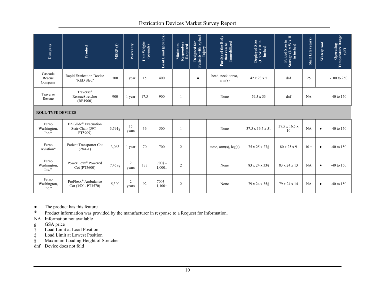#### Extrication Devices Market Survey Report

| Company                         | Product                                               | MSRP(\$) | Warranty    | Unit Weight<br>(pounds) | Load Limit (pounds)   | Minimum<br>Responders<br>Required | Designed for<br>Patients with Spinal<br>Injury | Part(s) of the Body<br>that can be<br>Immobilized | Deployed Size<br>(L x W x H in<br>inches) | Folded Size in<br>Storage (L x W x H<br>in inches) | Shelf Life (years) | Waterproof | <b>Operating<br/>Temperature Range<br/>(oF)</b> |
|---------------------------------|-------------------------------------------------------|----------|-------------|-------------------------|-----------------------|-----------------------------------|------------------------------------------------|---------------------------------------------------|-------------------------------------------|----------------------------------------------------|--------------------|------------|-------------------------------------------------|
| Cascade<br>Rescue<br>Company    | Rapid Extrication Device<br>"RED Sled"                | 700      | 1 year      | 15                      | 400                   |                                   | $\bullet$                                      | head, neck, torso,<br>arm(s)                      | 42 x 23 x 5                               | dnf                                                | 25                 |            | $-100$ to 250                                   |
| Traverse<br>Rescue              | Traverse <sup>®</sup><br>RescueStretcher<br>(RE1900)  | 900      | 1 year      | 17.5                    | 900                   |                                   |                                                | None                                              | 79.5 x 33                                 | dnf                                                | <b>NA</b>          |            | $-40$ to $150$                                  |
| <b>ROLL-TYPE DEVICES</b>        |                                                       |          |             |                         |                       |                                   |                                                |                                                   |                                           |                                                    |                    |            |                                                 |
| Ferno<br>Washington,<br>$Inc.*$ | EZ Glide® Evacuation<br>Stair Chair (59T -<br>PT5909) | 3,591g   | 15<br>years | 36                      | 500                   |                                   |                                                | None                                              | 37.5 x 16.5 x 51                          | $37.5 \times 16.5 \times$<br>10                    | NA                 | $\bullet$  | $-40$ to $150$                                  |
| Ferno<br>Aviation*              | Patient Transporter Cot<br>$(28A-1)$                  | 3,063    | 1 year      | 70                      | 700                   | $\overline{2}$                    |                                                | torso, $arm(s)$ , $leg(s)$                        | 75 x 25 x 27§                             | 80 x 25 x 9                                        | $10 +$             | $\bullet$  | $-40$ to $150$                                  |
| Ferno<br>Washington,<br>$Inc.*$ | PowerFlexx <sup>®</sup> Powered<br>Cot (PT5600)       | 7.458g   | 2<br>years  | 133                     | $700+$ -<br>1,0001    | $\overline{2}$                    |                                                | None                                              | 83 x 24 x 33 \$                           | 83 x 24 x 13                                       | <b>NA</b>          | $\bullet$  | $-40$ to $150$                                  |
| Ferno<br>Washington,<br>$Inc.*$ | ProFlexx <sup>®</sup> Ambulance<br>Cot (35X - PT3570) | 5,300    | 2<br>years  | 92                      | $700†$ -<br>1,100 $1$ | 2                                 |                                                | None                                              | 79 x 24 x 35 §                            | 79 x 24 x 14                                       | NA                 | $\bullet$  | $-40$ to $150$                                  |

• The product has this feature

\* Product information was provided by the manufacturer in response to a Request for Information.

NA Information not available

- g GSA price
- 
- † Load Limit at Load Position<br>‡ Load Limit at Lowest Positio Load Limit at Lowest Position
- § Maximum Loading Height of Stretcher
- dnf Device does not fold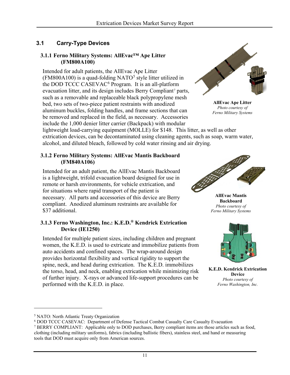## <span id="page-16-0"></span>**3.1 Carry-Type Devices**

#### <span id="page-16-1"></span>**3.1.1 Ferno Military Systems: AllEvac™ Ape Litter (FM800A100)**

Intended for adult patients, the AllEvac Ape Litter (FM800A100) is a quad-folding NATO<sup>5</sup> style litter utilized in the DOD TCCC CASEVAC<sup>6</sup> Program. It is an all-platform evacuation litter, and its design includes Berry Compliant<sup>7</sup> parts, such as a removable and replaceable black polypropylene mesh bed, two sets of two-piece patient restraints with anodized aluminum buckles, folding handles, and frame sections that can be removed and replaced in the field, as necessary. Accessories include the 1,000 denier litter carrier (Backpack) with modular



**AllEvac Ape Litter** *Photo courtesy of Ferno Military Systems*

lightweight load-carrying equipment (MOLLE) for \$148. This litter, as well as other extrication devices, can be decontaminated using cleaning agents, such as soap, warm water, alcohol, and diluted bleach, followed by cold water rinsing and air drying.

#### <span id="page-16-2"></span>**3.1.2 Ferno Military Systems: AllEvac Mantis Backboard (FM840A106)**

Intended for an adult patient, the AllEvac Mantis Backboard is a lightweight, trifold evacuation board designed for use in remote or harsh environments, for vehicle extrication, and for situations where rapid transport of the patient is necessary. All parts and accessories of this device are Berry compliant. Anodized aluminum restraints are available for \$37 additional.

#### <span id="page-16-3"></span>**3.1.3 Ferno Washington, Inc.: K.E.D.® Kendrick Extrication Device (IE1250)**

Intended for multiple patient sizes, including children and pregnant women, the K.E.D. is used to extricate and immobilize patients from auto accidents and confined spaces. The wrap-around design provides horizontal flexibility and vertical rigidity to support the spine, neck, and head during extrication. The K.E.D. immobilizes the torso, head, and neck, enabling extrication while minimizing risk of further injury. X-rays or advanced life-support procedures can be performed with the K.E.D. in place.



**AllEvac Mantis Backboard** *Photo courtesy of Ferno Military Systems*



**K.E.D. Kendrick Extrication Device** *Photo courtesy of Ferno Washington, Inc.*

<sup>5</sup> NATO: North Atlantic Treaty Organization

<sup>6</sup> DOD TCCC CASEVAC: Department of Defense Tactical Combat Casualty Care Casualty Evacuation <sup>7</sup> BERRY COMPLIANT: Applicable only to DOD purchases, Berry compliant items are those articles such as food, clothing (including military uniforms), fabrics (including ballistic fibers), stainless steel, and hand or measuring tools that DOD must acquire only from American sources.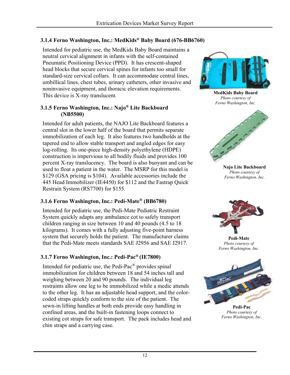## <span id="page-17-0"></span>**3.1.4 Ferno Washington, Inc.: MedKids® Baby Board (676-BB6760)**

Intended for pediatric use, the MedKids Baby Board maintains a neutral cervical alignment in infants with the self-contained Pneumatic Positioning Device (PPD). It has crescent-shaped head blocks that secure cervical spines for infants too small for standard-size cervical collars. It can accommodate central lines, umbillical lines, chest tubes, urinary catheters, other invasive and noninvasive equipment, and thoracic elevation requirements. This device is X-ray translucent.

#### <span id="page-17-1"></span>**3.1.5 Ferno Washington, Inc.: Najo® Lite Backboard (NB5500)**

Intended for adult patients, the NAJO Lite Backboard features a central slot in the lower half of the board that permits separate immobilization of each leg. It also features two handholds at the tapered end to allow stable transport and angled edges for easy log-rolling. Its one-piece high-density polyethylene (HDPE) construction is impervious to all bodily fluids and provides 100 percent X-ray translucency. The board is also buoyant and can be used to float a patient in the water. The MSRP for this model is \$129 (GSA pricing is \$104). Available accessories include the 445 Head Immobilizer (IE4450) for \$112 and the Fastrap Quick Restrain System (RS7700) for \$155.

## <span id="page-17-2"></span>**3.1.6 Ferno Washington, Inc.: Pedi-Mate® (BB6780)**

Intended for pediatric use, the Pedi-Mate Pediatric Restraint System quickly adapts any ambulance cot to safely transport children ranging in size between 10 and 40 pounds (4.5 to 18 kilograms). It comes with a fully adjusting five-point harness system that securely holds the patient. The manufacturer claims that the Pedi-Mate meets standards SAE J2956 and SAE J2917.

#### <span id="page-17-3"></span>**3.1.7 Ferno Washington, Inc.: Pedi-Pac® (IE7800)**

Intended for pediatric use, the Pedi-Pac® provides spinal immobilization for children between 18 and 54 inches tall and weighing between 20 and 90 pounds. The individual leg restraints allow one leg to be immobilized while a medic attends to the other leg. It has an adjustable head support, and the colorcoded straps quickly conform to the size of the patient. The sewn-in lifting handles at both ends provide easy handling in confined areas, and the built-in fastening loops connect to existing cot straps for safe transport. The pack includes head and chin straps and a carrying case.



**MedKids Baby Board** *Photo courtesy of Ferno Washington, Inc.*



**Najo Lite Backboard** *Photo courtesy of Ferno Washington, Inc.*



**Pedi-Mate** *Photo courtesy of Ferno Washington, Inc.*



**Pedi-Pac** *Photo courtesy of Ferno Washington, Inc.*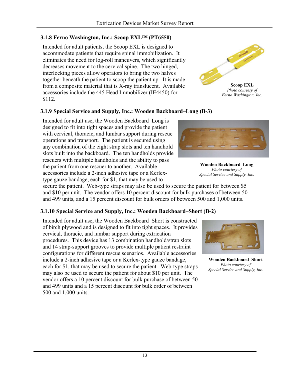#### <span id="page-18-0"></span>**3.1.8 Ferno Washington, Inc.: Scoop EXL™ (PT6550)**

Intended for adult patients, the Scoop EXL is designed to accommodate patients that require spinal immobilization. It eliminates the need for log-roll maneuvers, which significantly decreases movement to the cervical spine. The two hinged, interlocking pieces allow operators to bring the two halves together beneath the patient to scoop the patient up. It is made from a composite material that is X-ray translucent. Available accessories include the 445 Head Immobilizer (IE4450) for \$112.



#### <span id="page-18-1"></span>**3.1.9 Special Service and Supply, Inc.: Wooden Backboard–Long (B-3)**

Intended for adult use, the Wooden Backboard–Long is designed to fit into tight spaces and provide the patient with cervical, thoracic, and lumbar support during rescue operations and transport. The patient is secured using any combination of the eight strap slots and ten handhold slots built into the backboard. The ten handholds provide rescuers with multiple handholds and the ability to pass the patient from one rescuer to another. Available accessories include a 2-inch adhesive tape or a Kerlextype gauze bandage, each for \$1, that may be used to

secure the patient. Web-type straps may also be used to secure the patient for between \$5 and \$10 per unit. The vendor offers 10 percent discount for bulk purchases of between 50 and 499 units, and a 15 percent discount for bulk orders of between 500 and 1,000 units.

#### <span id="page-18-2"></span>**3.1.10 Special Service and Supply, Inc.: Wooden Backboard–Short (B-2)**

Intended for adult use, the Wooden Backboard–Short is constructed of birch plywood and is designed to fit into tight spaces. It provides cervical, thoracic, and lumbar support during extrication procedures. This device has 13 combination handhold/strap slots and 14 strap-support grooves to provide multiple patient restraint configurations for different rescue scenarios. Available accessories include a 2-inch adhesive tape or a Kerlex-type gauze bandage, each for \$1, that may be used to secure the patient. Web-type straps may also be used to secure the patient for about \$10 per unit. The vendor offers a 10 percent discount for bulk purchase of between 50 and 499 units and a 15 percent discount for bulk order of between 500 and 1,000 units.



**Wooden Backboard–Long** *Photo courtesy of Special Service and Supply, Inc.* 



**Wooden Backboard–Short** *Photo courtesy of Special Service and Supply, Inc.*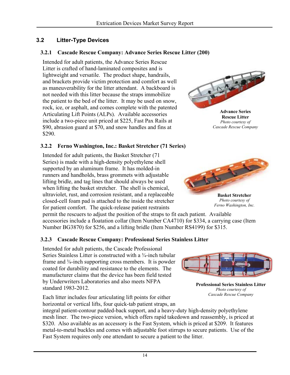## <span id="page-19-0"></span>**3.2 Litter-Type Devices**

#### <span id="page-19-1"></span>**3.2.1 Cascade Rescue Company: Advance Series Rescue Litter (200)**

Intended for adult patients, the Advance Series Rescue Litter is crafted of hand-laminated composites and is lightweight and versatile. The product shape, handrails, and brackets provide victim protection and comfort as well as maneuverability for the litter attendant. A backboard is not needed with this litter because the straps immobilize the patient to the bed of the litter. It may be used on snow, rock, ice, or asphalt, and comes complete with the patented Articulating Lift Points (ALPs). Available accessories include a two-piece unit priced at \$225, Fast Pax Rails at \$90, abrasion guard at \$70, and snow handles and fins at \$290.

#### <span id="page-19-2"></span>**3.2.2 Ferno Washington, Inc.: Basket Stretcher (71 Series)**

Intended for adult patients, the Basket Stretcher (71 Series) is made with a high-density polyethylene shell supported by an aluminum frame. It has molded-in runners and handholds, brass grommets with adjustable lifting bridle, and tag lines that should always be used when lifting the basket stretcher. The shell is chemical, ultraviolet, rust, and corrosion resistant, and a replaceable closed-cell foam pad is attached to the inside the stretcher for patient comfort. The quick-release patient restraints

permit the rescuers to adjust the position of the straps to fit each patient. Available accessories include a floatation collar (Item Number CA4710) for \$334, a carrying case (Item Number BG3870) for \$256, and a lifting bridle (Item Number RS4199) for \$315.

#### <span id="page-19-3"></span>**3.2.3 Cascade Rescue Company: Professional Series Stainless Litter**

Intended for adult patients, the Cascade Professional Series Stainless Litter is constructed with a ¾-inch tubular frame and <sup>3</sup>/<sub>8</sub>-inch supporting cross members. It is powder coated for durability and resistance to the elements. The manufacturer claims that the device has been field tested by Underwriters Laboratories and also meets NFPA standard 1983-2012.

Each litter includes four articulating lift points for either horizontal or vertical lifts, four quick-tab patient straps, an

integral patient-contour padded-back support, and a heavy-duty high-density polyethylene mesh liner. The two-piece version, which offers rapid takedown and reassembly, is priced at \$320. Also available as an accessory is the Fast System, which is priced at \$209. It features metal-to-metal buckles and comes with adjustable foot stirrups to secure patients. Use of the Fast System requires only one attendant to secure a patient to the litter.



**Rescue Litter** *Photo courtesy of Cascade Rescue Company*



**Basket Stretcher** *Photo courtesy of Ferno Washington, Inc.* 



**Professional Series Stainless Litter** *Photo courtesy of Cascade Rescue Company*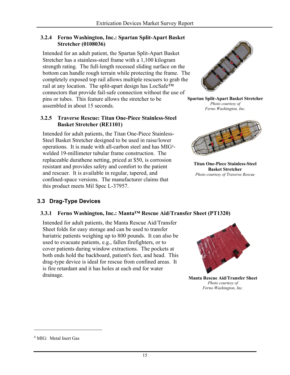#### <span id="page-20-0"></span>**3.2.4 Ferno Washington, Inc.: Spartan Split-Apart Basket Stretcher (0108036)**

Intended for an adult patient, the Spartan Split-Apart Basket Stretcher has a stainless-steel frame with a 1,100 kilogram strength rating. The full-length recessed sliding surface on the bottom can handle rough terrain while protecting the frame. The completely exposed top rail allows multiple rescuers to grab the rail at any location. The split-apart design has LocSafe™ connectors that provide fail-safe connection without the use of pins or tubes. This feature allows the stretcher to be assembled in about 15 seconds.

#### <span id="page-20-1"></span>**3.2.5 Traverse Rescue: Titan One-Piece Stainless-Steel Basket Stretcher (RE1101)**

Intended for adult patients, the Titan One-Piece Stainless-Steel Basket Stretcher designed to be used in raise/lower operations. It is made with all-carbon steel and has MIG<sup>8</sup>welded 19-millimeter tubular frame construction. The replaceable durathene netting, priced at \$50, is corrosion resistant and provides safety and comfort to the patient and rescuer. It is available in regular, tapered, and confined-space versions. The manufacturer claims that this product meets Mil Spec L-37957.



**Spartan Split-Apart Basket Stretcher** *Photo courtesy of Ferno Washington, Inc.* 



**Titan One-Piece Stainless-Steel Basket Stretcher** *Photo courtesy of Traverse Rescue*

## <span id="page-20-2"></span>**3.3 Drag-Type Devices**

#### <span id="page-20-3"></span>**3.3.1 Ferno Washington, Inc.: Manta™ Rescue Aid/Transfer Sheet (PT1320)**

Intended for adult patients, the Manta Rescue Aid/Transfer Sheet folds for easy storage and can be used to transfer bariatric patients weighing up to 800 pounds. It can also be used to evacuate patients, e.g., fallen firefighters, or to cover patients during window extractions. The pockets at both ends hold the backboard, patient's feet, and head. This drag-type device is ideal for rescue from confined areas. It is fire retardant and it has holes at each end for water drainage.



**Manta Rescue Aid/Transfer Sheet** *Photo courtesy of Ferno Washington, Inc.* 

<sup>8</sup> MIG: Metal Inert Gas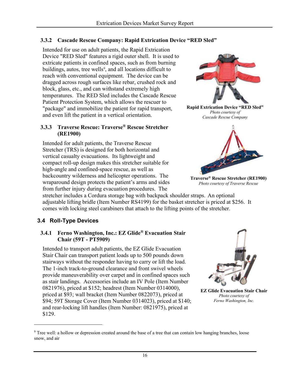#### <span id="page-21-0"></span>**3.3.2 Cascade Rescue Company: Rapid Extrication Device "RED Sled"**

Intended for use on adult patients, the Rapid Extrication Device "RED Sled" features a rigid outer shell. It is used to extricate patients in confined spaces, such as from burning buildings, autos, tree wells<sup>9</sup>, and all locations difficult to reach with conventional equipment. The device can be dragged across rough surfaces like rebar, crushed rock and block, glass, etc., and can withstand extremely high temperatures. The RED Sled includes the Cascade Rescue Patient Protection System, which allows the rescuer to "package" and immobilize the patient for rapid transport, and even lift the patient in a vertical orientation.

#### <span id="page-21-1"></span>**3.3.3 Traverse Rescue: Traverse® Rescue Stretcher (RE1900)**

Intended for adult patients, the Traverse Rescue Stretcher (TRS) is designed for both horizontal and vertical casualty evacuations. Its lightweight and compact roll-up design makes this stretcher suitable for high-angle and confined-space rescue, as well as backcountry wilderness and helicopter operations. The wraparound design protects the patient's arms and sides from further injury during evacuation procedures. The

stretcher includes a Cordura storage bag with backpack shoulder straps. An optional adjustable lifting bridle (Item Number RS4199) for the basket stretcher is priced at \$256. It comes with locking steel carabiners that attach to the lifting points of the stretcher.

## <span id="page-21-2"></span>**3.4 Roll-Type Devices**

 $\overline{a}$ 

#### <span id="page-21-3"></span>**3.4.1 Ferno Washington, Inc.: EZ Glide® Evacuation Stair Chair (59T - PT5909)**

Intended to transport adult patients, the EZ Glide Evacuation Stair Chair can transport patient loads up to 500 pounds down stairways without the responder having to carry or lift the load. The 1-inch track-to-ground clearance and front swivel wheels provide maneuverability over carpet and in confined spaces such as stair landings. Accessories include an IV Pole (Item Number 0821976), priced at \$152; headrest (Item Number 0314000), priced at \$93; wall bracket (Item Number 0822073), priced at \$94; 59T Storage Cover (Item Number 0314023), priced at \$140; and rear-locking lift handles (Item Number: 0821975), priced at \$129.



**EZ Glide Evacuation Stair Chair** *Photo courtesy of Ferno Washington, Inc.* 





**Rapid Extrication Device "RED Sled"** *Photo courtesy of Cascade Rescue Company* 



**Traverse® Rescue Stretcher (RE1900)** *Photo courtesy of Traverse Rescue*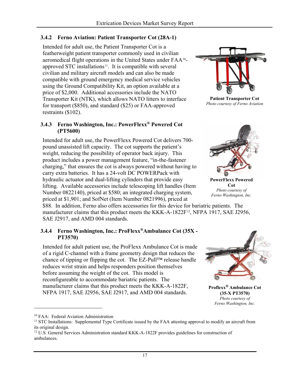#### <span id="page-22-0"></span>**3.4.2 Ferno Aviation: Patient Transporter Cot (28A-1)**

Intended for adult use, the Patient Transporter Cot is a featherweight patient transporter commonly used in civilian aeromedical flight operations in the United States under FAA10 approved STC installations $11$ . It is compatible with several civilian and military aircraft models and can also be made compatible with ground emergency medical service vehicles using the Ground Compatibility Kit, an option available at a price of \$2,000. Additional accessories include the NATO Transporter Kit (NTK), which allows NATO litters to interface for transport (\$850), and standard (\$25) or FAA-approved restraints (\$102).

#### <span id="page-22-1"></span>**3.4.3 Ferno Washington, Inc.: PowerFlexx® Powered Cot (PT5600)**

Intended for adult use, the PowerFlexx Powered Cot delivers 700 pound unassisted lift capacity. The cot supports the patient's weight, reducing the possibility of operator back injury. This product includes a power management feature, "in-the-fastener charging," that ensures the cot is always powered without having to carry extra batteries. It has a 24-volt DC POWERPack with hydraulic actuator and dual-lifting cylinders that provide easy lifting. Available accessories include telescoping lift handles (Item Number 0822140), priced at \$580; an integrated charging system, priced at \$1,901; and SofNet (Item Number 0821996), priced at

\$88. In addition, Ferno also offers accessories for this device for bariatric patients. The manufacturer claims that this product meets the KKK-A-1822F<sup>12</sup>, NFPA 1917, SAE J2956, SAE J2917, and AMD 004 standards.

#### <span id="page-22-2"></span>**3.4.4 Ferno Washington, Inc.: ProFlexx®Ambulance Cot (35X - PT3570)**

Intended for adult patient use, the ProFlexx Ambulance Cot is made of a rigid C-channel with a frame geometry design that reduces the chance of tipping or flipping the cot. The EZ-Pull™ release handle reduces wrist strain and helps responders position themselves before assuming the weight of the cot. This model is reconfigureable to accommodate bariatric patients. The manufacturer claims that this product meets the KKK-A-1822F, NFPA 1917, SAE J2956, SAE J2917, and AMD 004 standards.



**Patient Transporter Cot** *Photo courtesy of Ferno Aviation* 



**PowerFlexx Powered Cot** *Photo courtesy of Ferno Washington, Inc.* 



**Proflexx® Ambulance Cot (35-X PT3570)** *Photo courtesy of Ferno Washington, Inc.* 

<sup>10</sup> FAA: Federal Aviation Administration

<sup>&</sup>lt;sup>11</sup> STC Installations: Supplemental Type Certificate issued by the FAA attesting approval to modify an aircraft from its original design.

<sup>&</sup>lt;sup>12</sup> U.S. General Services Administration standard KKK-A-1822F provides guidelines for construction of ambulances.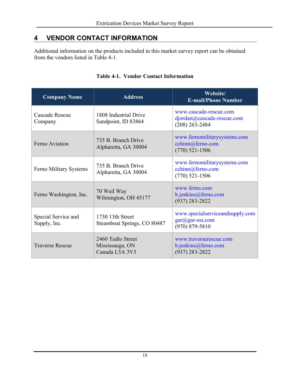# <span id="page-23-0"></span>**4 VENDOR CONTACT INFORMATION**

Additional information on the products included in this market survey report can be obtained from the vendors listed in Table 4-1.

<span id="page-23-1"></span>

| <b>Company Name</b>                 | <b>Address</b>                                         | Website/<br><b>E-mail/Phone Number</b>                                   |
|-------------------------------------|--------------------------------------------------------|--------------------------------------------------------------------------|
| Cascade Rescue<br>Company           | 1808 Industrial Drive<br>Sandpoint, ID 83864           | www.cascade-rescue.com<br>djordan@cascade-rescue.com<br>$(208)$ 263-2484 |
| Ferno Aviation                      | 735 B. Branch Drive<br>Alpharetta, GA 30004            | www.fernomilitarysystems.com<br>cchinn@ferno.com<br>$(770)$ 521-1506     |
| Ferno Military Systems              | 735 B. Branch Drive<br>Alpharetta, GA 30004            | www.fernomilitarysystems.com<br>cchinn@ferno.com<br>$(770)$ 521-1506     |
| Ferno Washington, Inc.              | 70 Weil Way<br>Wilmington, OH 45177                    | www.ferno.com<br>b.jenkins@ferno.com<br>$(937)$ 283-2822                 |
| Special Service and<br>Supply, Inc. | 1730 13th Street<br>Steamboat Springs, CO 80487        | www.specialserviceandsupply.com<br>gar@gar-sss.com<br>$(970) 879 - 5810$ |
| <b>Traverse Rescue</b>              | 2460 Tedlo Street<br>Mississauga, ON<br>Canada L5A 3V3 | www.traverserescue.com<br>b.jenkins@ferno.com<br>$(937) 283 - 2822$      |

#### **Table 4-1. Vendor Contact Information**